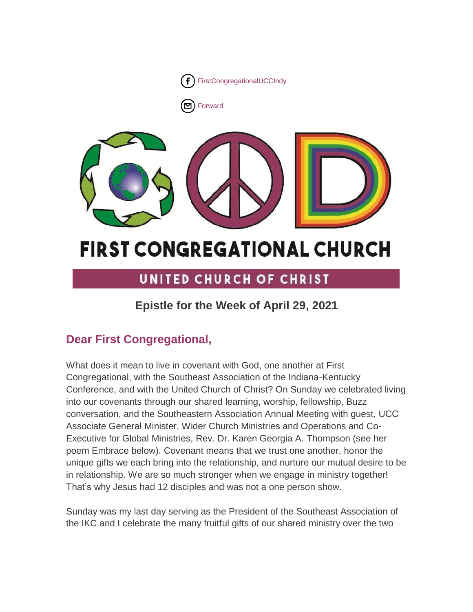

[Forward](http://us16.forward-to-friend.com/forward?u=7a2e4c501545b6d78729a64a1&id=9627d28e32&e=%5bUNIQID%5d)



# **FIRST CONGREGATIONAL CHURCH**

# UNITED CHURCH OF CHRIST

# **Epistle for the Week of April 29, 2021**

# **Dear First Congregational,**

What does it mean to live in covenant with God, one another at First Congregational, with the Southeast Association of the Indiana-Kentucky Conference, and with the United Church of Christ? On Sunday we celebrated living into our covenants through our shared learning, worship, fellowship, Buzz conversation, and the Southeastern Association Annual Meeting with guest, UCC Associate General Minister, Wider Church Ministries and Operations and Co-Executive for Global Ministries, Rev. Dr. Karen Georgia A. Thompson (see her poem Embrace below). Covenant means that we trust one another, honor the unique gifts we each bring into the relationship, and nurture our mutual desire to be in relationship. We are so much stronger when we engage in ministry together! That's why Jesus had 12 disciples and was not a one person show.

Sunday was my last day serving as the President of the Southeast Association of the IKC and I celebrate the many fruitful gifts of our shared ministry over the two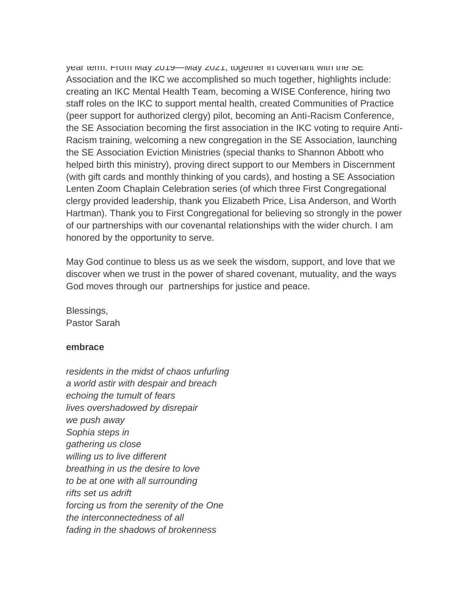year term. From May 2019—May 2021, together in covenant with the SE Association and the IKC we accomplished so much together, highlights include: creating an IKC Mental Health Team, becoming a WISE Conference, hiring two staff roles on the IKC to support mental health, created Communities of Practice (peer support for authorized clergy) pilot, becoming an Anti-Racism Conference, the SE Association becoming the first association in the IKC voting to require Anti-Racism training, welcoming a new congregation in the SE Association, launching the SE Association Eviction Ministries (special thanks to Shannon Abbott who helped birth this ministry), proving direct support to our Members in Discernment (with gift cards and monthly thinking of you cards), and hosting a SE Association Lenten Zoom Chaplain Celebration series (of which three First Congregational clergy provided leadership, thank you Elizabeth Price, Lisa Anderson, and Worth Hartman). Thank you to First Congregational for believing so strongly in the power of our partnerships with our covenantal relationships with the wider church. I am honored by the opportunity to serve.

May God continue to bless us as we seek the wisdom, support, and love that we discover when we trust in the power of shared covenant, mutuality, and the ways God moves through our partnerships for justice and peace.

Blessings, Pastor Sarah

#### **embrace**

*residents in the midst of chaos unfurling a world astir with despair and breach echoing the tumult of fears lives overshadowed by disrepair we push away Sophia steps in gathering us close willing us to live different breathing in us the desire to love to be at one with all surrounding rifts set us adrift forcing us from the serenity of the One the interconnectedness of all fading in the shadows of brokenness*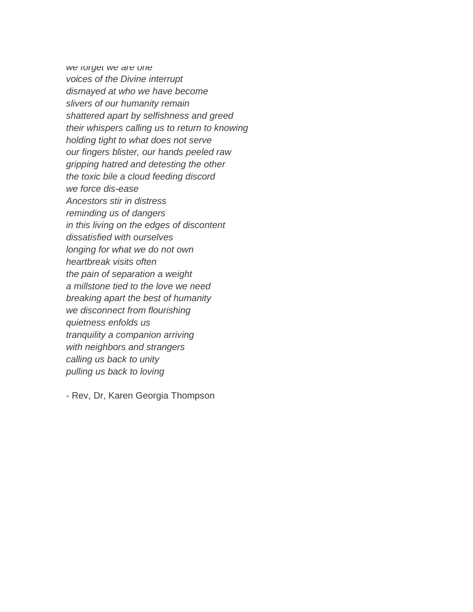*we forget we are one voices of the Divine interrupt dismayed at who we have become slivers of our humanity remain shattered apart by selfishness and greed their whispers calling us to return to knowing holding tight to what does not serve our fingers blister, our hands peeled raw gripping hatred and detesting the other the toxic bile a cloud feeding discord we force dis-ease Ancestors stir in distress reminding us of dangers in this living on the edges of discontent dissatisfied with ourselves longing for what we do not own heartbreak visits often the pain of separation a weight a millstone tied to the love we need breaking apart the best of humanity we disconnect from flourishing quietness enfolds us tranquility a companion arriving with neighbors and strangers calling us back to unity pulling us back to loving*

- Rev, Dr, Karen Georgia Thompson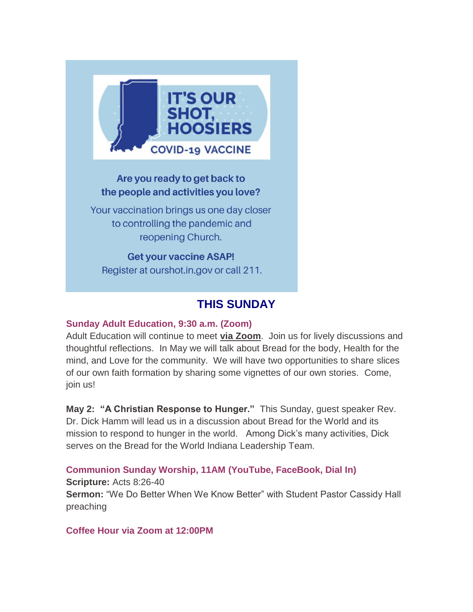

# Are you ready to get back to the people and activities you love?

Your vaccination brings us one day closer to controlling the pandemic and reopening Church.

**Get your vaccine ASAP!** Register at ourshot.in.gov or call 211.

# **THIS SUNDAY**

# **Sunday Adult Education, 9:30 a.m. (Zoom)**

Adult Education will continue to meet **[via Zoom](https://us02web.zoom.us/j/9264494206?pwd=dmtWbWE5UXRBTk5pcHZlYlB0aEFVUT09)**. Join us for lively discussions and thoughtful reflections. In May we will talk about Bread for the body, Health for the mind, and Love for the community. We will have two opportunities to share slices of our own faith formation by sharing some vignettes of our own stories. Come, join us!

**May 2: "A Christian Response to Hunger."** This Sunday, guest speaker Rev. Dr. Dick Hamm will lead us in a discussion about Bread for the World and its mission to respond to hunger in the world. Among Dick's many activities, Dick serves on the Bread for the World Indiana Leadership Team.

**Communion Sunday Worship, 11AM (YouTube, FaceBook, Dial In)**

**Scripture:** Acts 8:26-40 **Sermon:** "We Do Better When We Know Better" with Student Pastor Cassidy Hall preaching

**Coffee Hour via Zoom at 12:00PM**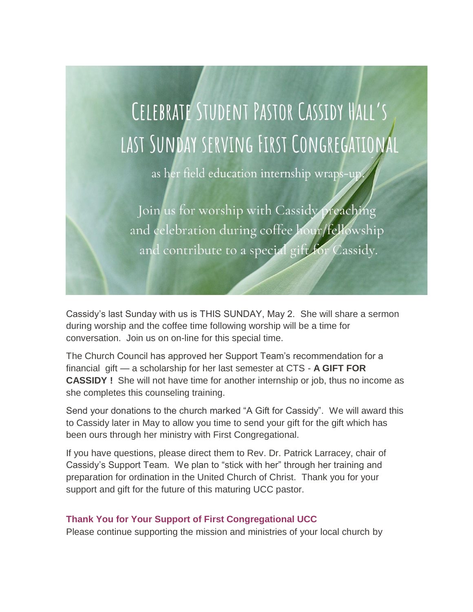

Cassidy's last Sunday with us is THIS SUNDAY, May 2. She will share a sermon during worship and the coffee time following worship will be a time for conversation. Join us on on-line for this special time.

The Church Council has approved her Support Team's recommendation for a financial gift — a scholarship for her last semester at CTS - **A GIFT FOR CASSIDY !** She will not have time for another internship or job, thus no income as she completes this counseling training.

Send your donations to the church marked "A Gift for Cassidy". We will award this to Cassidy later in May to allow you time to send your gift for the gift which has been ours through her ministry with First Congregational.

If you have questions, please direct them to Rev. Dr. Patrick Larracey, chair of Cassidy's Support Team. We plan to "stick with her" through her training and preparation for ordination in the United Church of Christ. Thank you for your support and gift for the future of this maturing UCC pastor.

# **Thank You for Your Support of First Congregational UCC**

Please continue supporting the mission and ministries of your local church by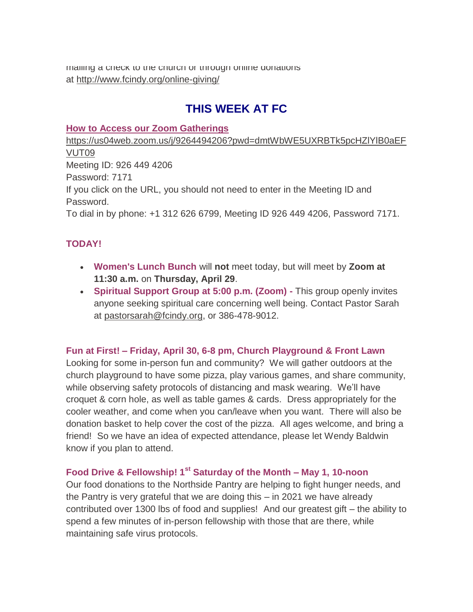mailing a check to the church or through online donations at <http://www.fcindy.org/online-giving/>

# **THIS WEEK AT FC**

#### **How to Access our Zoom Gatherings**

[https://us04web.zoom.us/j/9264494206?pwd=dmtWbWE5UXRBTk5pcHZlYlB0aEF](https://us04web.zoom.us/j/9264494206?pwd=dmtWbWE5UXRBTk5pcHZlYlB0aEFVUT09) [VUT09](https://us04web.zoom.us/j/9264494206?pwd=dmtWbWE5UXRBTk5pcHZlYlB0aEFVUT09) Meeting ID: 926 449 4206 Password: 7171 If you click on the URL, you should not need to enter in the Meeting ID and Password. To dial in by phone: +1 312 626 6799, Meeting ID 926 449 4206, Password 7171.

# **TODAY!**

- **Women's Lunch Bunch** will **not** meet today, but will meet by **Zoom at 11:30 a.m.** on **Thursday, April 29**.
- **Spiritual Support Group at 5:00 p.m. (Zoom) -** This group openly invites anyone seeking spiritual care concerning well being. Contact Pastor Sarah at [pastorsarah@fcindy.org,](mailto:pastorsarah@fcindy.org) or 386-478-9012.

# **Fun at First! – Friday, April 30, 6-8 pm, Church Playground & Front Lawn**

Looking for some in-person fun and community? We will gather outdoors at the church playground to have some pizza, play various games, and share community, while observing safety protocols of distancing and mask wearing. We'll have croquet & corn hole, as well as table games & cards. Dress appropriately for the cooler weather, and come when you can/leave when you want. There will also be donation basket to help cover the cost of the pizza. All ages welcome, and bring a friend! So we have an idea of expected attendance, please let Wendy Baldwin know if you plan to attend.

# **Food Drive & Fellowship! 1st Saturday of the Month – May 1, 10-noon**

Our food donations to the Northside Pantry are helping to fight hunger needs, and the Pantry is very grateful that we are doing this – in 2021 we have already contributed over 1300 lbs of food and supplies! And our greatest gift – the ability to spend a few minutes of in-person fellowship with those that are there, while maintaining safe virus protocols.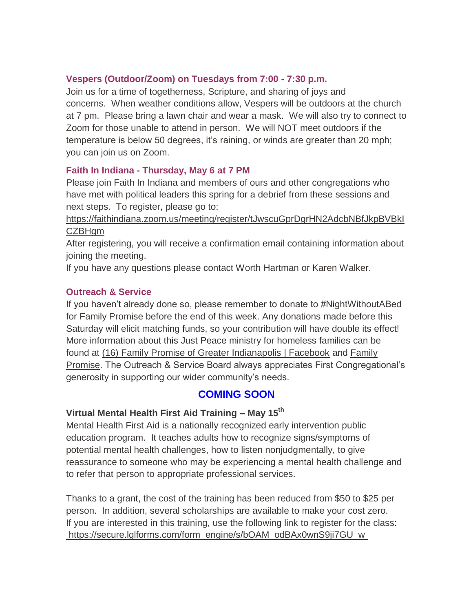#### **Vespers (Outdoor/Zoom) on Tuesdays from 7:00 - 7:30 p.m.**

Join us for a time of togetherness, Scripture, and sharing of joys and concerns. When weather conditions allow, Vespers will be outdoors at the church at 7 pm. Please bring a lawn chair and wear a mask. We will also try to connect to Zoom for those unable to attend in person. We will NOT meet outdoors if the temperature is below 50 degrees, it's raining, or winds are greater than 20 mph; you can join us on Zoom.

#### **Faith In Indiana - Thursday, May 6 at 7 PM**

Please join Faith In Indiana and members of ours and other congregations who have met with political leaders this spring for a debrief from these sessions and next steps. To register, please go to:

[https://faithindiana.zoom.us/meeting/register/tJwscuGprDgrHN2AdcbNBfJkpBVBkI](https://urldefense.com/v3/__https:/faithindiana.zoom.us/meeting/register/tJwscuGprDgrHN2AdcbNBfJkpBVBkICZBHgm__;!!NuAq3lKL!4gwYTSCzagiBy2Ylko9jzPjiov9UhXq4NvqCMZ7wMg7GsBfcuYUXyFk1sOgbXoLj8A$) [CZBHgm](https://urldefense.com/v3/__https:/faithindiana.zoom.us/meeting/register/tJwscuGprDgrHN2AdcbNBfJkpBVBkICZBHgm__;!!NuAq3lKL!4gwYTSCzagiBy2Ylko9jzPjiov9UhXq4NvqCMZ7wMg7GsBfcuYUXyFk1sOgbXoLj8A$)

After registering, you will receive a confirmation email containing information about joining the meeting.

If you have any questions please contact Worth Hartman or Karen Walker.

# **Outreach & Service**

If you haven't already done so, please remember to donate to #NightWithoutABed for Family Promise before the end of this week. Any donations made before this Saturday will elicit matching funds, so your contribution will have double its effect! More information about this Just Peace ministry for homeless families can be found at [\(16\) Family Promise of Greater Indianapolis | Facebook](https://www.facebook.com/familypromiseindy/) and [Family](https://familypromise.org/)  [Promise.](https://familypromise.org/) The Outreach & Service Board always appreciates First Congregational's generosity in supporting our wider community's needs.

# **COMING SOON**

# **Virtual Mental Health First Aid Training – May 15th**

Mental Health First Aid is a nationally recognized early intervention public education program. It teaches adults how to recognize signs/symptoms of potential mental health challenges, how to listen nonjudgmentally, to give reassurance to someone who may be experiencing a mental health challenge and to refer that person to appropriate professional services.

Thanks to a grant, the cost of the training has been reduced from \$50 to \$25 per person. In addition, several scholarships are available to make your cost zero. If you are interested in this training, use the following link to register for the class: [https://secure.lglforms.com/form\\_engine/s/bOAM\\_odBAx0wnS9ji7GU\\_w](https://secure.lglforms.com/form_engine/s/bOAM_odBAx0wnS9ji7GU_w)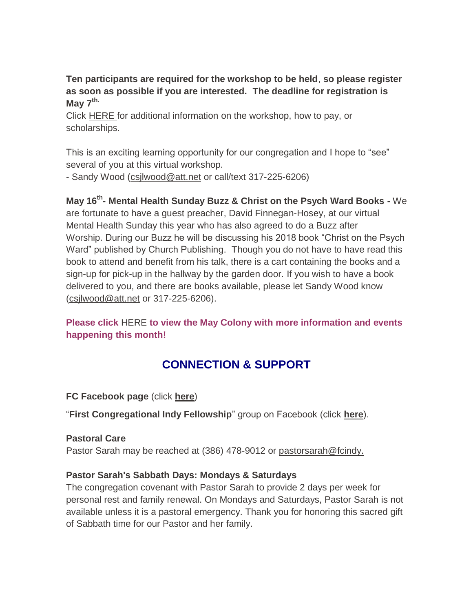**Ten participants are required for the workshop to be held**, **so please register as soon as possible if you are interested. The deadline for registration is May 7 th.**

Click [HERE](https://mcusercontent.com/7a2e4c501545b6d78729a64a1/files/6942c0fa-d81b-40a5-881a-5e51f2df50e9/Mental_Health_First_Aid_Trainingblurb2021.pdf) for additional information on the workshop, how to pay, or scholarships.

This is an exciting learning opportunity for our congregation and I hope to "see" several of you at this virtual workshop.

- Sandy Wood [\(csjlwood@att.net](mailto:csjlwood@att.net) or call/text 317-225-6206)

**May 16th - Mental Health Sunday Buzz & Christ on the Psych Ward Books -** We

are fortunate to have a guest preacher, David Finnegan-Hosey, at our virtual Mental Health Sunday this year who has also agreed to do a Buzz after Worship. During our Buzz he will be discussing his 2018 book "Christ on the Psych Ward" published by Church Publishing. Though you do not have to have read this book to attend and benefit from his talk, there is a cart containing the books and a sign-up for pick-up in the hallway by the garden door. If you wish to have a book delivered to you, and there are books available, please let Sandy Wood know [\(csjlwood@att.net](mailto:csjlwood@att.net-) or 317-225-6206).

**Please click** [HERE](https://mcusercontent.com/7a2e4c501545b6d78729a64a1/files/4829092a-9266-4e2f-a5d7-b1df27a81bda/May_Colony_2021.01.pdf) **[t](https://mcusercontent.com/7a2e4c501545b6d78729a64a1/files/4829092a-9266-4e2f-a5d7-b1df27a81bda/May_Colony_2021.01.pdf)o view the May Colony with more information and events happening this month!**

# **CONNECTION & SUPPORT**

**FC Facebook page** (click **[here](https://www.facebook.com/FirstCongregationalUCCIndy/)**)

"**First Congregational Indy Fellowship**" group on Facebook (click **[here](https://www.facebook.com/groups/521333455186422/)**).

# **Pastoral Care**

Pastor Sarah may be reached at (386) 478-9012 or [pastorsarah@fcindy.](mailto:pastorsarah@fcindy.org)

# **Pastor Sarah's Sabbath Days: Mondays & Saturdays**

The congregation covenant with Pastor Sarah to provide 2 days per week for personal rest and family renewal. On Mondays and Saturdays, Pastor Sarah is not available unless it is a pastoral emergency. Thank you for honoring this sacred gift of Sabbath time for our Pastor and her family.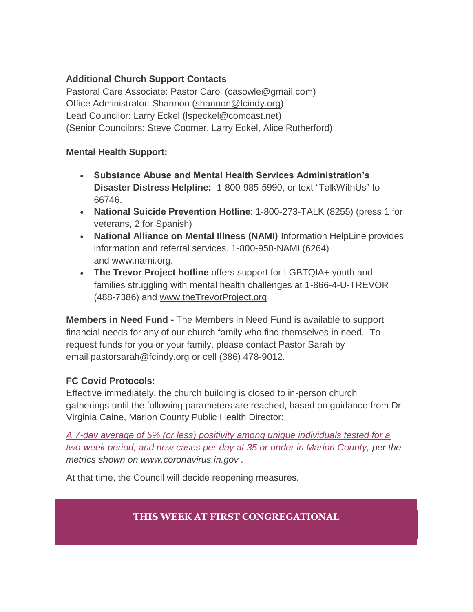# **Additional Church Support Contacts**

Pastoral Care Associate: Pastor Carol [\(casowle@gmail.com\)](mailto:casowle@gmail.com) Office Administrator: Shannon [\(shannon@fcindy.org\)](mailto:shannon@fcindy.org) Lead Councilor: Larry Eckel [\(lspeckel@comcast.net\)](mailto:lspeckel@comcast.net) (Senior Councilors: Steve Coomer, Larry Eckel, Alice Rutherford)

# **Mental Health Support:**

- **Substance Abuse and Mental Health Services Administration's Disaster Distress Helpline:** 1-800-985-5990, or text "TalkWithUs" to 66746.
- **National Suicide Prevention Hotline**: 1-800-273-TALK (8255) (press 1 for veterans, 2 for Spanish)
- **National Alliance on Mental Illness (NAMI)** Information HelpLine provides information and referral services. 1-800-950-NAMI (6264) and [www.nami.org.](http://www.nami.org/)
- **The Trevor Project hotline** offers support for LGBTQIA+ youth and families struggling with mental health challenges at 1-866-4-U-TREVOR (488-7386) and [www.theTrevorProject.org](http://www.thetrevorproject.org/)

**Members in Need Fund -** The Members in Need Fund is available to support financial needs for any of our church family who find themselves in need. To request funds for you or your family, please contact Pastor Sarah by email [pastorsarah@fcindy.org](mailto:pastorsarah@fcindy.org) or cell (386) 478-9012.

# **FC Covid Protocols:**

Effective immediately, the church building is closed to in-person church gatherings until the following parameters are reached, based on guidance from Dr Virginia Caine, Marion County Public Health Director:

*A 7-day average of 5% (or less) positivity among unique individuals tested for a two-week period, and new cases per day at 35 or under in Marion County, per the metrics shown on [www.coronavirus.in.gov](http://www.coronavirus.in.gov/) .* 

At that time, the Council will decide reopening measures.

# **THIS WEEK AT FIRST CONGREGATIONAL**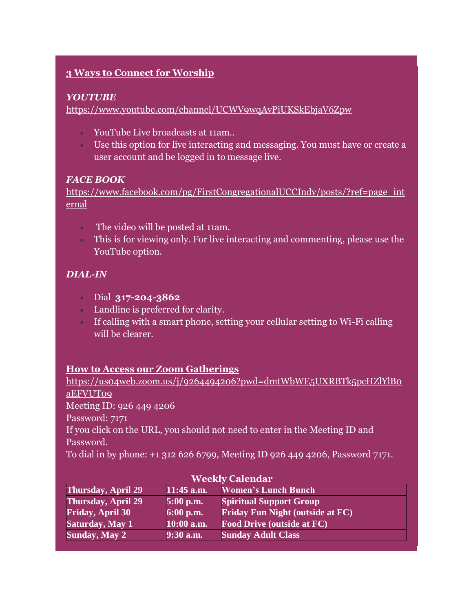# **3 Ways to Connect for Worship**

#### *YOUTUBE*

<https://www.youtube.com/channel/UCWV9wqAvPiUKSkEbjaV6Zpw>

- YouTube Live broadcasts at 11am..
- Use this option for live interacting and messaging. You must have or create a user account and be logged in to message live.

#### *FACE BOOK*

[https://www.facebook.com/pg/FirstCongregationalUCCIndy/posts/?ref=page\\_int](https://www.facebook.com/pg/FirstCongregationalUCCIndy/posts/?ref=page_internal) [ernal](https://www.facebook.com/pg/FirstCongregationalUCCIndy/posts/?ref=page_internal)

- The video will be posted at 11am.
- This is for viewing only. For live interacting and commenting, please use the YouTube option.

# *DIAL-IN*

- Dial **317-204-3862**
- Landline is preferred for clarity.
- If calling with a smart phone, setting your cellular setting to Wi-Fi calling will be clearer.

# **How to Access our Zoom Gatherings**

[https://us04web.zoom.us/j/9264494206?pwd=dmtWbWE5UXRBTk5pcHZlYlB0](https://us04web.zoom.us/j/9264494206?pwd=dmtWbWE5UXRBTk5pcHZlYlB0aEFVUT09) [aEFVUT09](https://us04web.zoom.us/j/9264494206?pwd=dmtWbWE5UXRBTk5pcHZlYlB0aEFVUT09) Meeting ID: 926 449 4206 Password: 7171 If you click on the URL, you should not need to enter in the Meeting ID and Password. To dial in by phone: +1 312 626 6799, Meeting ID 926 449 4206, Password 7171.

| <b>Weekly Calendar</b>    |              |                                         |  |
|---------------------------|--------------|-----------------------------------------|--|
| Thursday, April 29        | $11:45$ a.m. | <b>Women's Lunch Bunch</b>              |  |
| <b>Thursday, April 29</b> | $5:00$ p.m.  | <b>Spiritual Support Group</b>          |  |
| <b>Friday, April 30</b>   | $6:00$ p.m.  | <b>Friday Fun Night (outside at FC)</b> |  |
| <b>Saturday, May 1</b>    | $10:00$ a.m. | <b>Food Drive (outside at FC)</b>       |  |
| <b>Sunday, May 2</b>      | $9:30$ a.m.  | <b>Sunday Adult Class</b>               |  |

#### **Weekly Calendar**